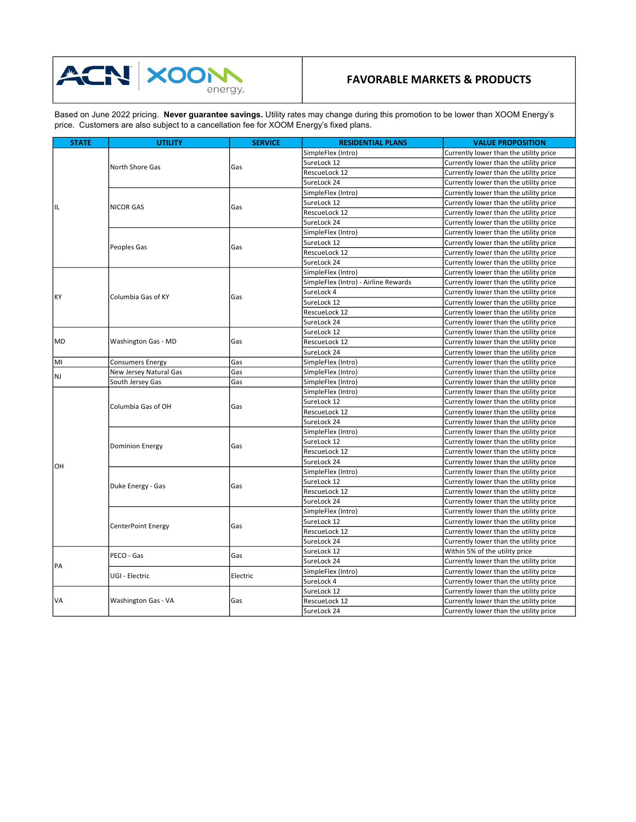

## FAVORABLE MARKETS & PRODUCTS

Based on June 2022 pricing. N**ever guarantee savings.** Utility rates may change during this promotion to be lower than XOOM Energy's price. Customers are also subject to a cancellation fee for XOOM Energy's fixed plans.

| <b>STATE</b> | <b>UTILITY</b>          | <b>SERVICE</b> | <b>RESIDENTIAL PLANS</b>             | <b>VALUE PROPOSITION</b>               |
|--------------|-------------------------|----------------|--------------------------------------|----------------------------------------|
| IL           |                         | Gas            | SimpleFlex (Intro)                   | Currently lower than the utility price |
|              |                         |                | SureLock 12                          | Currently lower than the utility price |
|              | North Shore Gas         |                | RescueLock 12                        | Currently lower than the utility price |
|              |                         |                | SureLock 24                          | Currently lower than the utility price |
|              | <b>NICOR GAS</b>        | Gas            | SimpleFlex (Intro)                   | Currently lower than the utility price |
|              |                         |                | SureLock 12                          | Currently lower than the utility price |
|              |                         |                | RescueLock 12                        | Currently lower than the utility price |
|              |                         |                | SureLock 24                          | Currently lower than the utility price |
|              | Peoples Gas             | Gas            | SimpleFlex (Intro)                   | Currently lower than the utility price |
|              |                         |                | SureLock 12                          | Currently lower than the utility price |
|              |                         |                | RescueLock 12                        | Currently lower than the utility price |
|              |                         |                | SureLock 24                          | Currently lower than the utility price |
| l KY         | Columbia Gas of KY      | Gas            | SimpleFlex (Intro)                   | Currently lower than the utility price |
|              |                         |                | SimpleFlex (Intro) - Airline Rewards | Currently lower than the utility price |
|              |                         |                | SureLock 4                           | Currently lower than the utility price |
|              |                         |                | SureLock 12                          | Currently lower than the utility price |
|              |                         |                | RescueLock 12                        | Currently lower than the utility price |
|              |                         |                | SureLock 24                          | Currently lower than the utility price |
| <b>MD</b>    | Washington Gas - MD     |                | SureLock 12                          | Currently lower than the utility price |
|              |                         | Gas            | RescueLock 12                        | Currently lower than the utility price |
|              |                         |                | SureLock 24                          | Currently lower than the utility price |
| MI           | <b>Consumers Energy</b> | Gas            | SimpleFlex (Intro)                   | Currently lower than the utility price |
|              | New Jersey Natural Gas  | Gas            | SimpleFlex (Intro)                   | Currently lower than the utility price |
| NJ           | South Jersey Gas        | Gas            | SimpleFlex (Intro)                   | Currently lower than the utility price |
|              | Columbia Gas of OH      | Gas            | SimpleFlex (Intro)                   | Currently lower than the utility price |
| lОH          |                         |                | SureLock 12                          | Currently lower than the utility price |
|              |                         |                | RescueLock 12                        | Currently lower than the utility price |
|              |                         |                | SureLock 24                          | Currently lower than the utility price |
|              | <b>Dominion Energy</b>  | Gas            | SimpleFlex (Intro)                   | Currently lower than the utility price |
|              |                         |                | SureLock 12                          | Currently lower than the utility price |
|              |                         |                | RescueLock 12                        | Currently lower than the utility price |
|              |                         |                | SureLock 24                          | Currently lower than the utility price |
|              | Duke Energy - Gas       | Gas            | SimpleFlex (Intro)                   | Currently lower than the utility price |
|              |                         |                | SureLock 12                          | Currently lower than the utility price |
|              |                         |                | RescueLock 12                        | Currently lower than the utility price |
|              |                         |                | SureLock 24                          | Currently lower than the utility price |
|              | CenterPoint Energy      | Gas            | SimpleFlex (Intro)                   | Currently lower than the utility price |
|              |                         |                | SureLock 12                          | Currently lower than the utility price |
|              |                         |                | RescueLock 12                        | Currently lower than the utility price |
|              |                         |                | SureLock 24                          | Currently lower than the utility price |
| PA           | PECO - Gas              | Gas            | SureLock 12                          | Within 5% of the utility price         |
|              |                         |                | SureLock 24                          | Currently lower than the utility price |
|              | UGI - Electric          | Electric       | SimpleFlex (Intro)                   | Currently lower than the utility price |
|              |                         |                | SureLock 4                           | Currently lower than the utility price |
|              |                         |                | SureLock 12                          | Currently lower than the utility price |
| VA           | Washington Gas - VA     | Gas            | RescueLock 12                        | Currently lower than the utility price |
|              |                         |                | SureLock 24                          | Currently lower than the utility price |